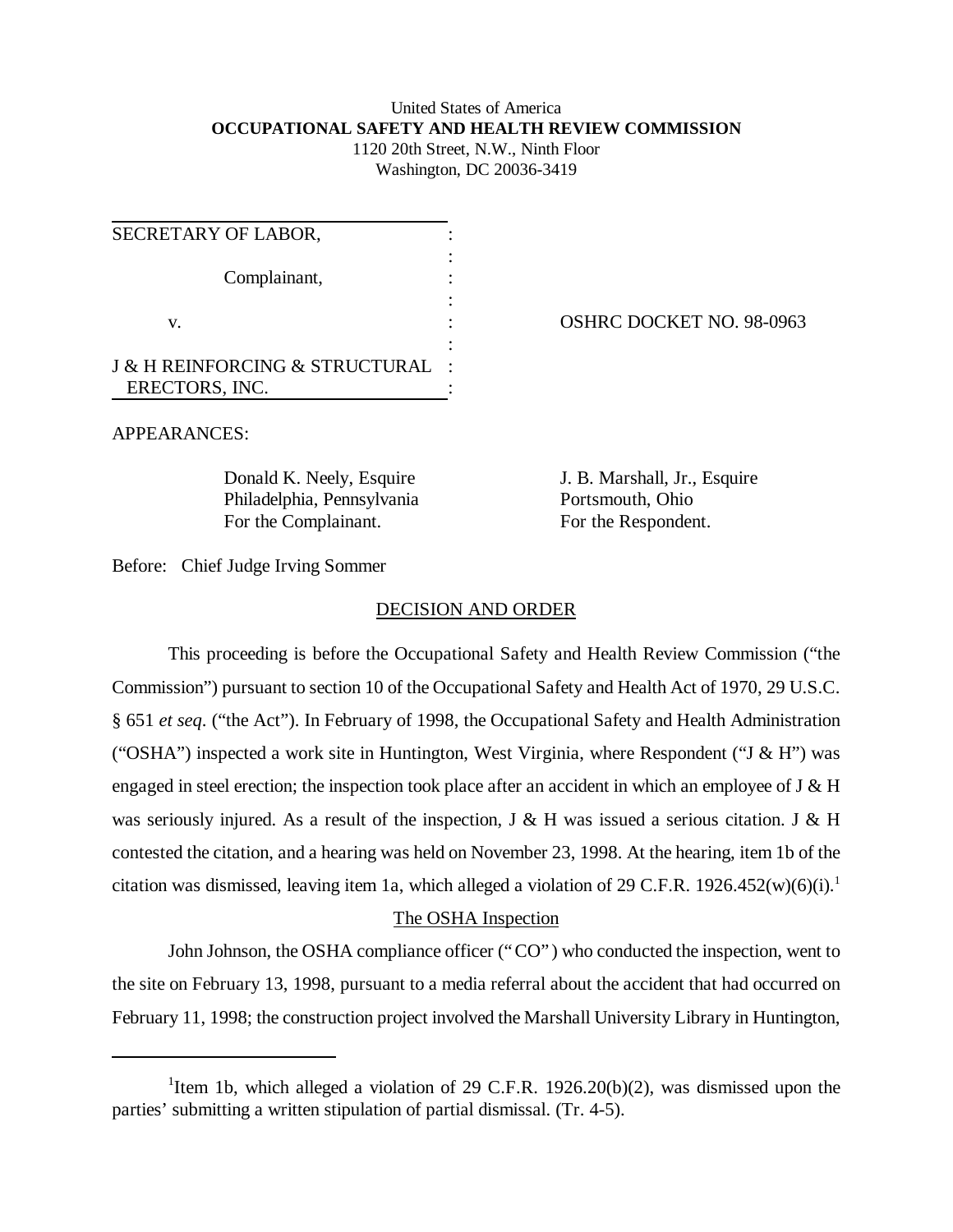### United States of America **OCCUPATIONAL SAFETY AND HEALTH REVIEW COMMISSION** 1120 20th Street, N.W., Ninth Floor

Washington, DC 20036-3419

| SECRETARY OF LABOR,                           |  |
|-----------------------------------------------|--|
| Complainant,                                  |  |
|                                               |  |
| v.                                            |  |
|                                               |  |
| <b>J &amp; H REINFORCING &amp; STRUCTURAL</b> |  |
| ERECTORS, INC.                                |  |

OSHRC DOCKET NO. 98-0963

APPEARANCES:

Philadelphia, Pennsylvania Portsmouth, Ohio For the Complainant. For the Respondent.

Donald K. Neely, Esquire J. B. Marshall, Jr., Esquire

Before: Chief Judge Irving Sommer

### DECISION AND ORDER

This proceeding is before the Occupational Safety and Health Review Commission ("the Commission") pursuant to section 10 of the Occupational Safety and Health Act of 1970, 29 U.S.C. § 651 *et seq*. ("the Act"). In February of 1998, the Occupational Safety and Health Administration ("OSHA") inspected a work site in Huntington, West Virginia, where Respondent ("J  $\&$  H") was engaged in steel erection; the inspection took place after an accident in which an employee of J & H was seriously injured. As a result of the inspection, J & H was issued a serious citation. J & H contested the citation, and a hearing was held on November 23, 1998. At the hearing, item 1b of the citation was dismissed, leaving item 1a, which alleged a violation of 29 C.F.R. 1926.452 $(w)(6)(i)$ .<sup>1</sup>

# The OSHA Inspection

John Johnson, the OSHA compliance officer ("CO") who conducted the inspection, went to the site on February 13, 1998, pursuant to a media referral about the accident that had occurred on February 11, 1998; the construction project involved the Marshall University Library in Huntington,

<sup>&</sup>lt;sup>1</sup>Item 1b, which alleged a violation of 29 C.F.R. 1926.20(b)(2), was dismissed upon the parties' submitting a written stipulation of partial dismissal. (Tr. 4-5).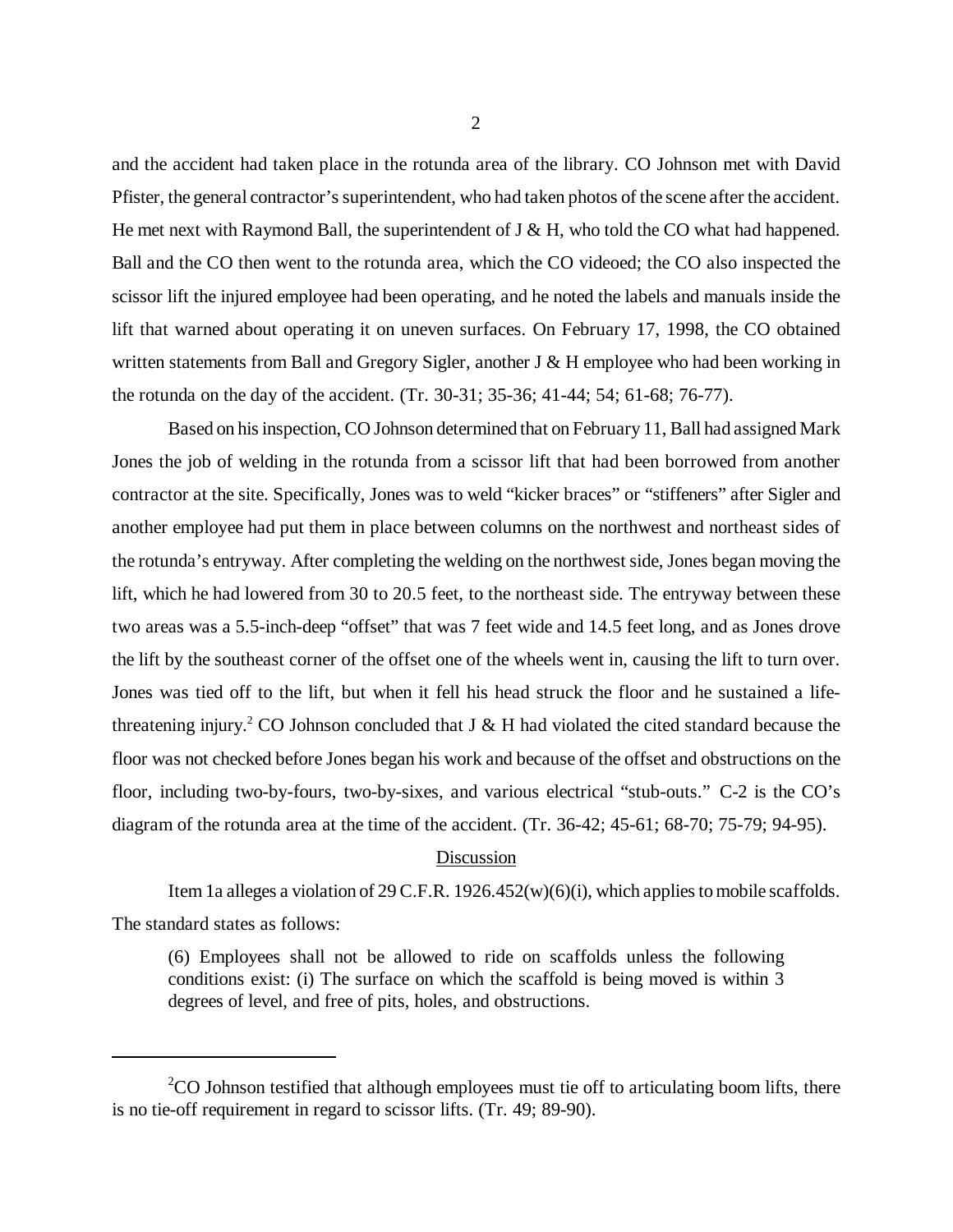and the accident had taken place in the rotunda area of the library. CO Johnson met with David Pfister, the general contractor's superintendent, who had taken photos of the scene after the accident. He met next with Raymond Ball, the superintendent of  $J \& H$ , who told the CO what had happened. Ball and the CO then went to the rotunda area, which the CO videoed; the CO also inspected the scissor lift the injured employee had been operating, and he noted the labels and manuals inside the lift that warned about operating it on uneven surfaces. On February 17, 1998, the CO obtained written statements from Ball and Gregory Sigler, another J & H employee who had been working in the rotunda on the day of the accident. (Tr. 30-31; 35-36; 41-44; 54; 61-68; 76-77).

Based on his inspection, CO Johnson determined that on February 11, Ball had assigned Mark Jones the job of welding in the rotunda from a scissor lift that had been borrowed from another contractor at the site. Specifically, Jones was to weld "kicker braces" or "stiffeners" after Sigler and another employee had put them in place between columns on the northwest and northeast sides of the rotunda's entryway. After completing the welding on the northwest side, Jones began moving the lift, which he had lowered from 30 to 20.5 feet, to the northeast side. The entryway between these two areas was a 5.5-inch-deep "offset" that was 7 feet wide and 14.5 feet long, and as Jones drove the lift by the southeast corner of the offset one of the wheels went in, causing the lift to turn over. Jones was tied off to the lift, but when it fell his head struck the floor and he sustained a lifethreatening injury.<sup>2</sup> CO Johnson concluded that J & H had violated the cited standard because the floor was not checked before Jones began his work and because of the offset and obstructions on the floor, including two-by-fours, two-by-sixes, and various electrical "stub-outs." C-2 is the CO's diagram of the rotunda area at the time of the accident. (Tr. 36-42; 45-61; 68-70; 75-79; 94-95).

#### Discussion

Item 1a alleges a violation of 29 C.F.R. 1926.452(w)(6)(i), which applies to mobile scaffolds. The standard states as follows:

(6) Employees shall not be allowed to ride on scaffolds unless the following conditions exist: (i) The surface on which the scaffold is being moved is within 3 degrees of level, and free of pits, holes, and obstructions.

 $2^2$ CO Johnson testified that although employees must tie off to articulating boom lifts, there is no tie-off requirement in regard to scissor lifts. (Tr. 49; 89-90).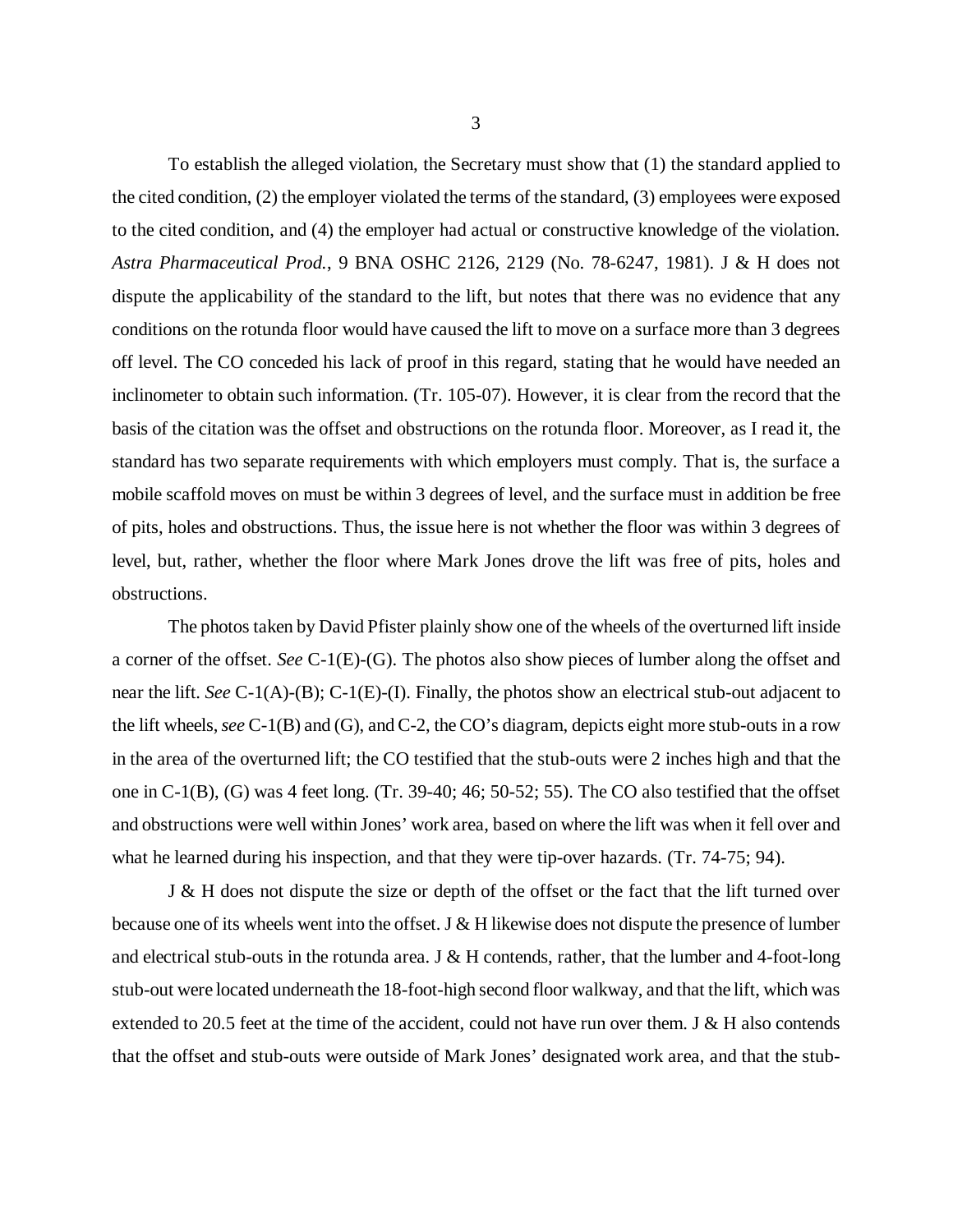To establish the alleged violation, the Secretary must show that (1) the standard applied to the cited condition, (2) the employer violated the terms of the standard, (3) employees were exposed to the cited condition, and (4) the employer had actual or constructive knowledge of the violation. *Astra Pharmaceutical Prod.*, 9 BNA OSHC 2126, 2129 (No. 78-6247, 1981). J & H does not dispute the applicability of the standard to the lift, but notes that there was no evidence that any conditions on the rotunda floor would have caused the lift to move on a surface more than 3 degrees off level. The CO conceded his lack of proof in this regard, stating that he would have needed an inclinometer to obtain such information. (Tr. 105-07). However, it is clear from the record that the basis of the citation was the offset and obstructions on the rotunda floor. Moreover, as I read it, the standard has two separate requirements with which employers must comply. That is, the surface a mobile scaffold moves on must be within 3 degrees of level, and the surface must in addition be free of pits, holes and obstructions. Thus, the issue here is not whether the floor was within 3 degrees of level, but, rather, whether the floor where Mark Jones drove the lift was free of pits, holes and obstructions.

The photos taken by David Pfister plainly show one of the wheels of the overturned lift inside a corner of the offset. *See* C-1(E)-(G). The photos also show pieces of lumber along the offset and near the lift. *See* C-1(A)-(B); C-1(E)-(I). Finally, the photos show an electrical stub-out adjacent to the lift wheels, *see* C-1(B) and (G), and C-2, the CO's diagram, depicts eight more stub-outs in a row in the area of the overturned lift; the CO testified that the stub-outs were 2 inches high and that the one in C-1(B), (G) was 4 feet long. (Tr. 39-40; 46; 50-52; 55). The CO also testified that the offset and obstructions were well within Jones' work area, based on where the lift was when it fell over and what he learned during his inspection, and that they were tip-over hazards. (Tr. 74-75; 94).

J & H does not dispute the size or depth of the offset or the fact that the lift turned over because one of its wheels went into the offset. J & H likewise does not dispute the presence of lumber and electrical stub-outs in the rotunda area. J  $\&$  H contends, rather, that the lumber and 4-foot-long stub-out were located underneath the 18-foot-high second floor walkway, and that the lift, which was extended to 20.5 feet at the time of the accident, could not have run over them. J & H also contends that the offset and stub-outs were outside of Mark Jones' designated work area, and that the stub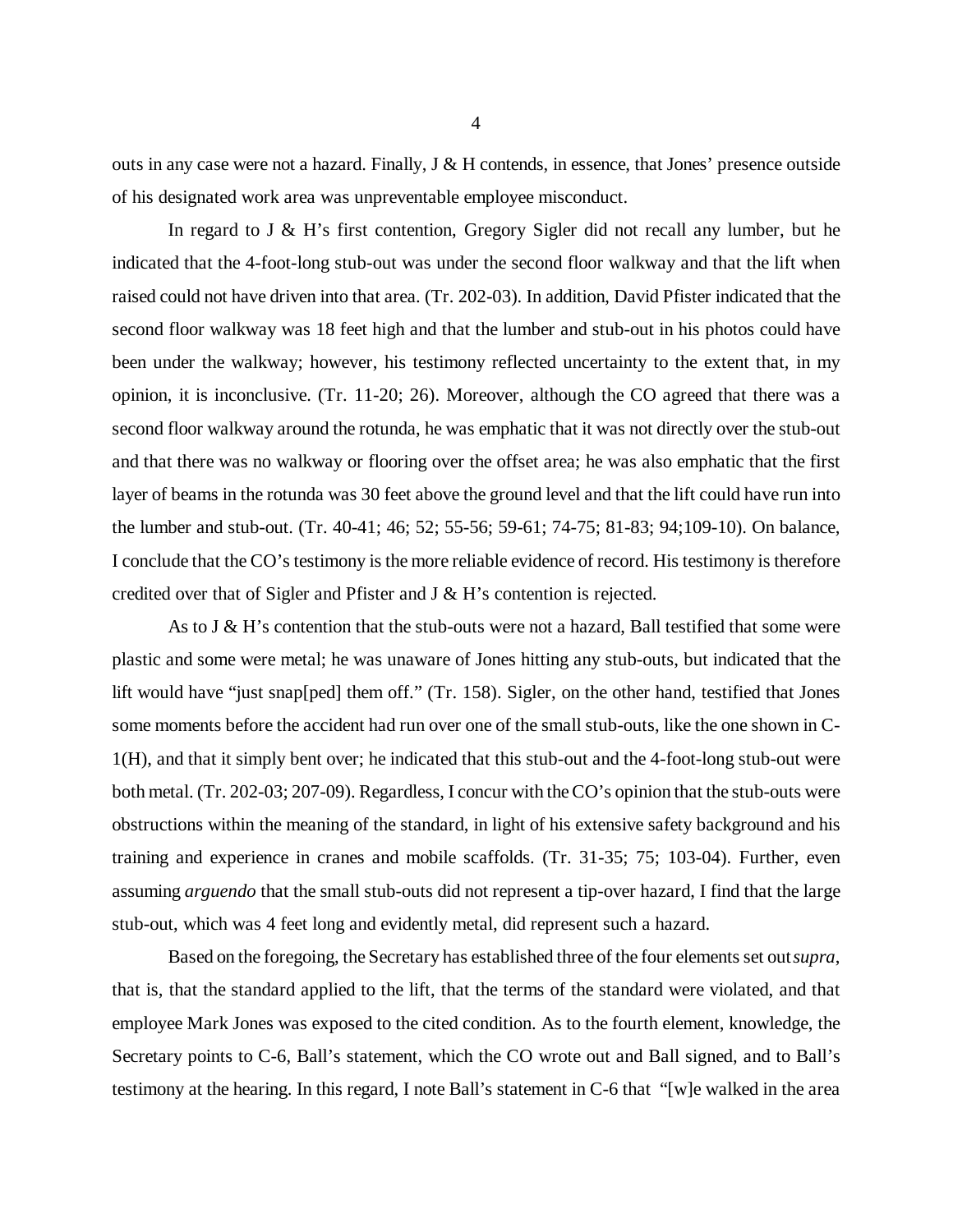outs in any case were not a hazard. Finally,  $J \& H$  contends, in essence, that Jones' presence outside of his designated work area was unpreventable employee misconduct.

In regard to J & H's first contention, Gregory Sigler did not recall any lumber, but he indicated that the 4-foot-long stub-out was under the second floor walkway and that the lift when raised could not have driven into that area. (Tr. 202-03). In addition, David Pfister indicated that the second floor walkway was 18 feet high and that the lumber and stub-out in his photos could have been under the walkway; however, his testimony reflected uncertainty to the extent that, in my opinion, it is inconclusive. (Tr. 11-20; 26). Moreover, although the CO agreed that there was a second floor walkway around the rotunda, he was emphatic that it was not directly over the stub-out and that there was no walkway or flooring over the offset area; he was also emphatic that the first layer of beams in the rotunda was 30 feet above the ground level and that the lift could have run into the lumber and stub-out. (Tr. 40-41; 46; 52; 55-56; 59-61; 74-75; 81-83; 94;109-10). On balance, I conclude that the CO's testimony is the more reliable evidence of record. His testimony is therefore credited over that of Sigler and Pfister and J & H's contention is rejected.

As to J  $\&$  H's contention that the stub-outs were not a hazard, Ball testified that some were plastic and some were metal; he was unaware of Jones hitting any stub-outs, but indicated that the lift would have "just snap[ped] them off." (Tr. 158). Sigler, on the other hand, testified that Jones some moments before the accident had run over one of the small stub-outs, like the one shown in C-1(H), and that it simply bent over; he indicated that this stub-out and the 4-foot-long stub-out were both metal. (Tr. 202-03; 207-09). Regardless, I concur with the CO's opinion that the stub-outs were obstructions within the meaning of the standard, in light of his extensive safety background and his training and experience in cranes and mobile scaffolds. (Tr. 31-35; 75; 103-04). Further, even assuming *arguendo* that the small stub-outs did not represent a tip-over hazard, I find that the large stub-out, which was 4 feet long and evidently metal, did represent such a hazard.

Based on the foregoing, the Secretary has established three of the four elements set out *supra*, that is, that the standard applied to the lift, that the terms of the standard were violated, and that employee Mark Jones was exposed to the cited condition. As to the fourth element, knowledge, the Secretary points to C-6, Ball's statement, which the CO wrote out and Ball signed, and to Ball's testimony at the hearing. In this regard, I note Ball's statement in C-6 that "[w]e walked in the area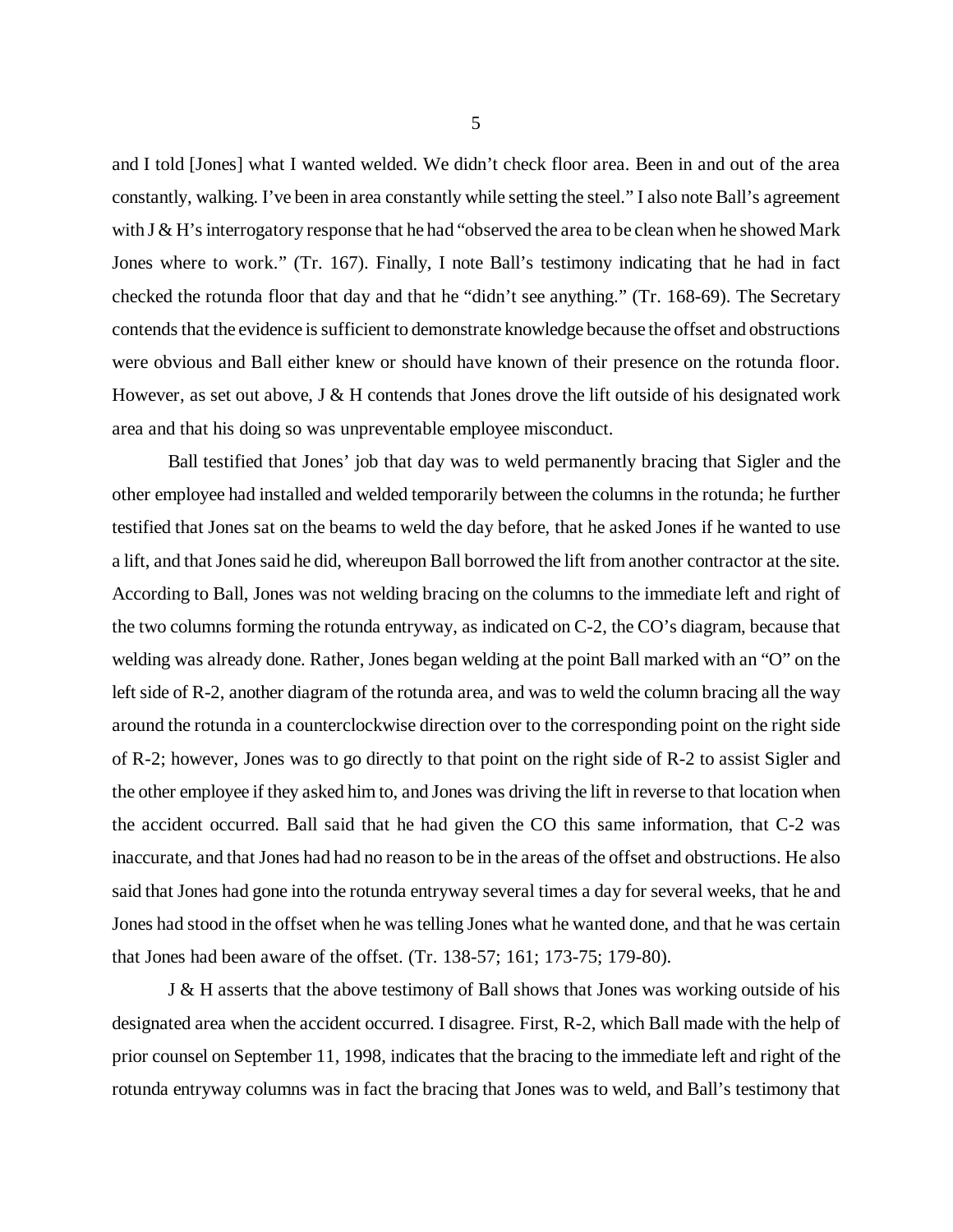and I told [Jones] what I wanted welded. We didn't check floor area. Been in and out of the area constantly, walking. I've been in area constantly while setting the steel." I also note Ball's agreement with J & H's interrogatory response that he had "observed the area to be clean when he showed Mark Jones where to work." (Tr. 167). Finally, I note Ball's testimony indicating that he had in fact checked the rotunda floor that day and that he "didn't see anything." (Tr. 168-69). The Secretary contends that the evidence is sufficient to demonstrate knowledge because the offset and obstructions were obvious and Ball either knew or should have known of their presence on the rotunda floor. However, as set out above,  $J \& H$  contends that Jones drove the lift outside of his designated work area and that his doing so was unpreventable employee misconduct.

Ball testified that Jones' job that day was to weld permanently bracing that Sigler and the other employee had installed and welded temporarily between the columns in the rotunda; he further testified that Jones sat on the beams to weld the day before, that he asked Jones if he wanted to use a lift, and that Jones said he did, whereupon Ball borrowed the lift from another contractor at the site. According to Ball, Jones was not welding bracing on the columns to the immediate left and right of the two columns forming the rotunda entryway, as indicated on C-2, the CO's diagram, because that welding was already done. Rather, Jones began welding at the point Ball marked with an "O" on the left side of R-2, another diagram of the rotunda area, and was to weld the column bracing all the way around the rotunda in a counterclockwise direction over to the corresponding point on the right side of R-2; however, Jones was to go directly to that point on the right side of R-2 to assist Sigler and the other employee if they asked him to, and Jones was driving the lift in reverse to that location when the accident occurred. Ball said that he had given the CO this same information, that C-2 was inaccurate, and that Jones had had no reason to be in the areas of the offset and obstructions. He also said that Jones had gone into the rotunda entryway several times a day for several weeks, that he and Jones had stood in the offset when he was telling Jones what he wanted done, and that he was certain that Jones had been aware of the offset. (Tr. 138-57; 161; 173-75; 179-80).

J & H asserts that the above testimony of Ball shows that Jones was working outside of his designated area when the accident occurred. I disagree. First, R-2, which Ball made with the help of prior counsel on September 11, 1998, indicates that the bracing to the immediate left and right of the rotunda entryway columns was in fact the bracing that Jones was to weld, and Ball's testimony that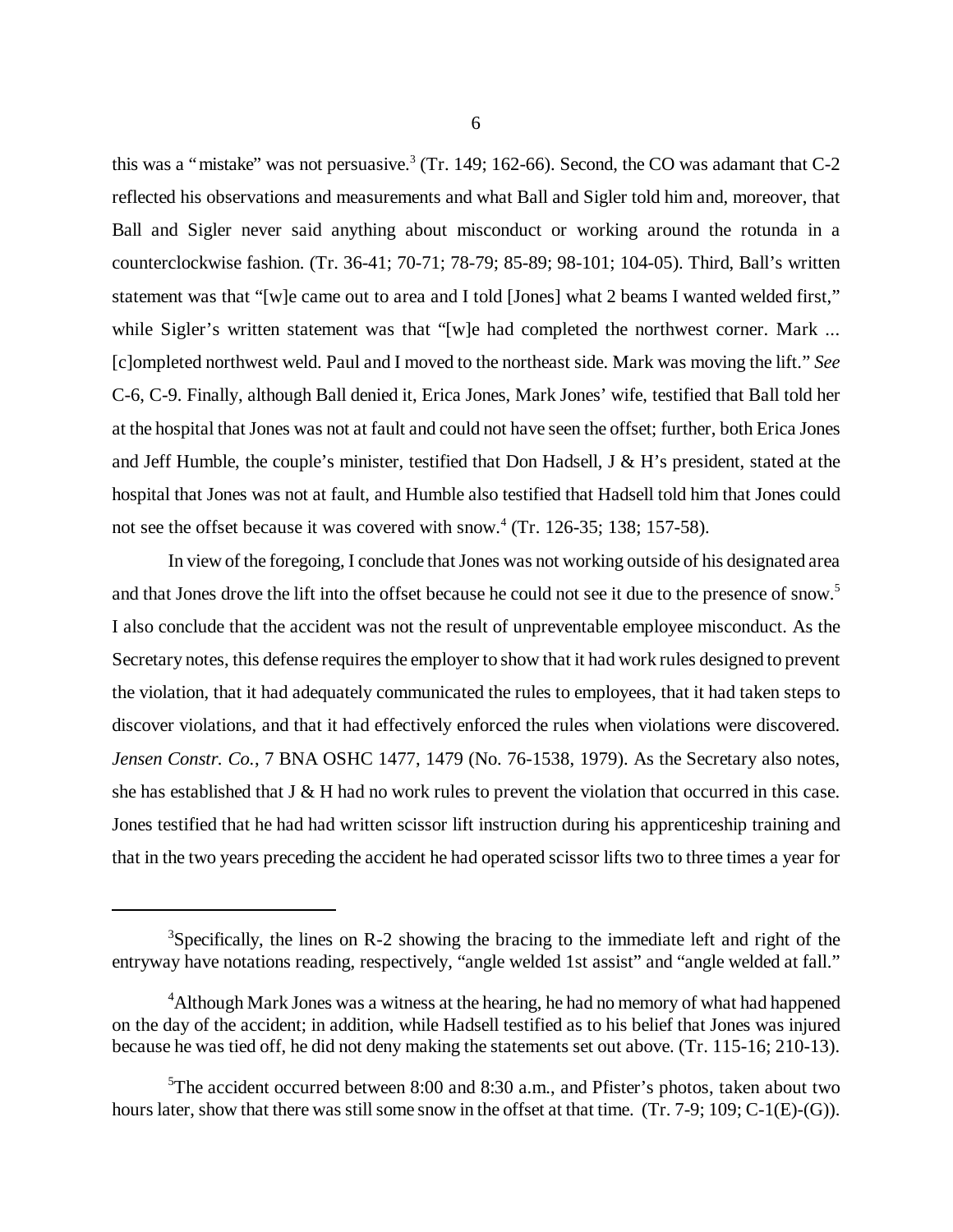this was a "mistake" was not persuasive.<sup>3</sup> (Tr. 149; 162-66). Second, the CO was adamant that  $C-2$ reflected his observations and measurements and what Ball and Sigler told him and, moreover, that Ball and Sigler never said anything about misconduct or working around the rotunda in a counterclockwise fashion. (Tr. 36-41; 70-71; 78-79; 85-89; 98-101; 104-05). Third, Ball's written statement was that "[w]e came out to area and I told [Jones] what 2 beams I wanted welded first," while Sigler's written statement was that "[w]e had completed the northwest corner. Mark ... [c]ompleted northwest weld. Paul and I moved to the northeast side. Mark was moving the lift." *See* C-6, C-9. Finally, although Ball denied it, Erica Jones, Mark Jones' wife, testified that Ball told her at the hospital that Jones was not at fault and could not have seen the offset; further, both Erica Jones and Jeff Humble, the couple's minister, testified that Don Hadsell, J & H's president, stated at the hospital that Jones was not at fault, and Humble also testified that Hadsell told him that Jones could not see the offset because it was covered with snow. $4$  (Tr. 126-35; 138; 157-58).

In view of the foregoing, I conclude that Jones was not working outside of his designated area and that Jones drove the lift into the offset because he could not see it due to the presence of snow.<sup>5</sup> I also conclude that the accident was not the result of unpreventable employee misconduct. As the Secretary notes, this defense requires the employer to show that it had work rules designed to prevent the violation, that it had adequately communicated the rules to employees, that it had taken steps to discover violations, and that it had effectively enforced the rules when violations were discovered. *Jensen Constr. Co.*, 7 BNA OSHC 1477, 1479 (No. 76-1538, 1979). As the Secretary also notes, she has established that J & H had no work rules to prevent the violation that occurred in this case. Jones testified that he had had written scissor lift instruction during his apprenticeship training and that in the two years preceding the accident he had operated scissor lifts two to three times a year for

 $3$ Specifically, the lines on R-2 showing the bracing to the immediate left and right of the entryway have notations reading, respectively, "angle welded 1st assist" and "angle welded at fall."

<sup>&</sup>lt;sup>4</sup>Although Mark Jones was a witness at the hearing, he had no memory of what had happened on the day of the accident; in addition, while Hadsell testified as to his belief that Jones was injured because he was tied off, he did not deny making the statements set out above. (Tr. 115-16; 210-13).

 $5$ The accident occurred between 8:00 and 8:30 a.m., and Pfister's photos, taken about two hours later, show that there was still some snow in the offset at that time. (Tr. 7-9; 109; C-1(E)-(G)).